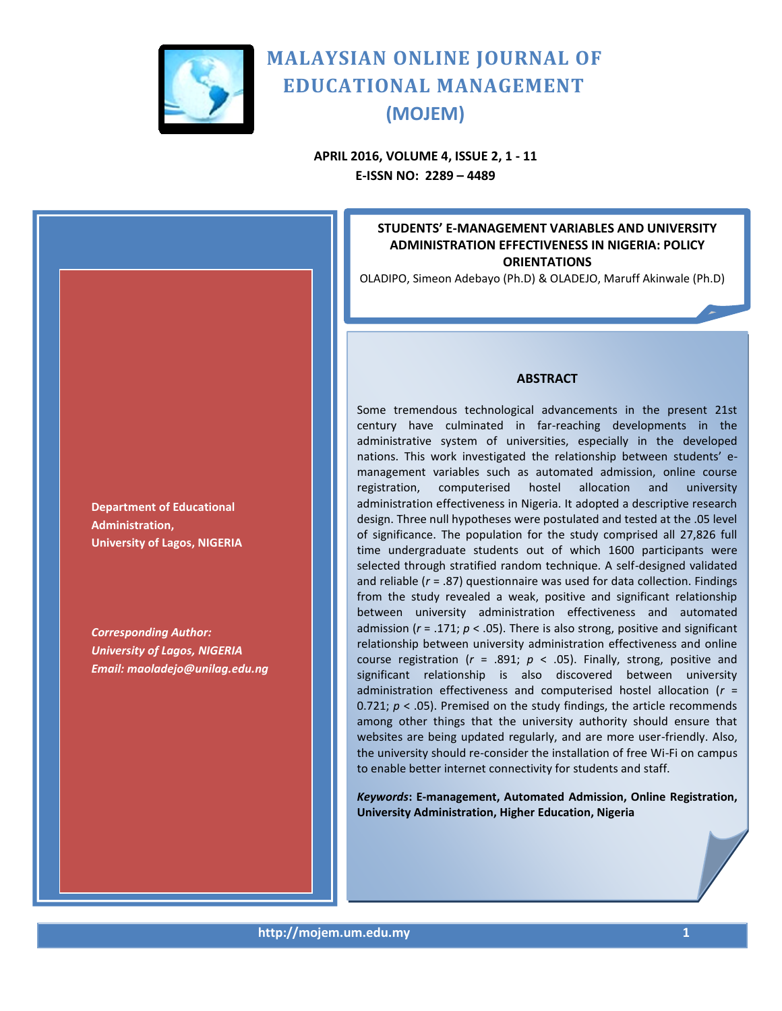

**APRIL 2016, VOLUME 4, ISSUE 2, 1 - 11 E-ISSN NO: 2289 – 4489**

## **STUDENTS' E-MANAGEMENT VARIABLES AND UNIVERSITY ADMINISTRATION EFFECTIVENESS IN NIGERIA: POLICY ORIENTATIONS**

OLADIPO, Simeon Adebayo (Ph.D) & OLADEJO, Maruff Akinwale (Ph.D)

## **ABSTRACT**

Some tremendous technological advancements in the present 21st century have culminated in far-reaching developments in the administrative system of universities, especially in the developed nations. This work investigated the relationship between students' emanagement variables such as automated admission, online course registration, computerised hostel allocation and university administration effectiveness in Nigeria. It adopted a descriptive research design. Three null hypotheses were postulated and tested at the .05 level of significance. The population for the study comprised all 27,826 full time undergraduate students out of which 1600 participants were selected through stratified random technique. A self-designed validated and reliable (*r* = .87) questionnaire was used for data collection. Findings from the study revealed a weak, positive and significant relationship between university administration effectiveness and automated admission (*r* = .171; *p* < .05). There is also strong, positive and significant relationship between university administration effectiveness and online course registration ( $r = .891$ ;  $p < .05$ ). Finally, strong, positive and significant relationship is also discovered between university administration effectiveness and computerised hostel allocation (*r* = 0.721; *p* < .05). Premised on the study findings, the article recommends among other things that the university authority should ensure that websites are being updated regularly, and are more user-friendly. Also, the university should re-consider the installation of free Wi-Fi on campus to enable better internet connectivity for students and staff.

*Keywords***: E-management, Automated Admission, Online Registration, University Administration, Higher Education, Nigeria**

**Department of Educational Administration, University of Lagos, NIGERIA**

*Corresponding Author: University of Lagos, NIGERIA Email: maoladejo@unilag.edu.ng*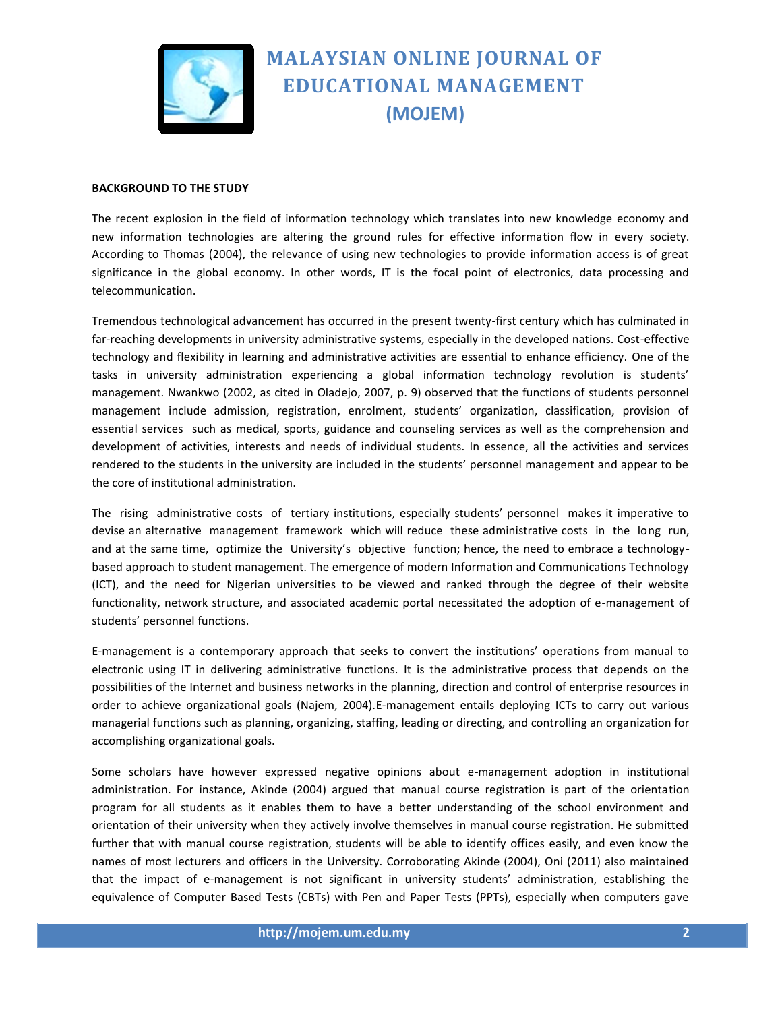

#### **BACKGROUND TO THE STUDY**

The recent explosion in the field of information technology which translates into new knowledge economy and new information technologies are altering the ground rules for effective information flow in every society. According to Thomas (2004), the relevance of using new technologies to provide information access is of great significance in the global economy. In other words, IT is the focal point of electronics, data processing and telecommunication.

Tremendous technological advancement has occurred in the present twenty-first century which has culminated in far-reaching developments in university administrative systems, especially in the developed nations. Cost-effective technology and flexibility in learning and administrative activities are essential to enhance efficiency. One of the tasks in university administration experiencing a global information technology revolution is students' management. Nwankwo (2002, as cited in Oladejo, 2007, p. 9) observed that the functions of students personnel management include admission, registration, enrolment, students' organization, classification, provision of essential services such as medical, sports, guidance and counseling services as well as the comprehension and development of activities, interests and needs of individual students. In essence, all the activities and services rendered to the students in the university are included in the students' personnel management and appear to be the core of institutional administration.

The rising administrative costs of tertiary institutions, especially students' personnel makes it imperative to devise an alternative management framework which will reduce these administrative costs in the long run, and at the same time, optimize the University's objective function; hence, the need to embrace a technologybased approach to student management. The emergence of modern Information and Communications Technology (ICT), and the need for Nigerian universities to be viewed and ranked through the degree of their website functionality, network structure, and associated academic portal necessitated the adoption of e-management of students' personnel functions.

E-management is a contemporary approach that seeks to convert the institutions' operations from manual to electronic using IT in delivering administrative functions. It is the administrative process that depends on the possibilities of the Internet and business networks in the planning, direction and control of enterprise resources in order to achieve organizational goals (Najem, 2004).E-management entails deploying ICTs to carry out various managerial functions such as planning, organizing, staffing, leading or directing, and controlling an organization for accomplishing organizational goals.

Some scholars have however expressed negative opinions about e-management adoption in institutional administration. For instance, Akinde (2004) argued that manual course registration is part of the orientation program for all students as it enables them to have a better understanding of the school environment and orientation of their university when they actively involve themselves in manual course registration. He submitted further that with manual course registration, students will be able to identify offices easily, and even know the names of most lecturers and officers in the University. Corroborating Akinde (2004), Oni (2011) also maintained that the impact of e-management is not significant in university students' administration, establishing the equivalence of Computer Based Tests (CBTs) with Pen and Paper Tests (PPTs), especially when computers gave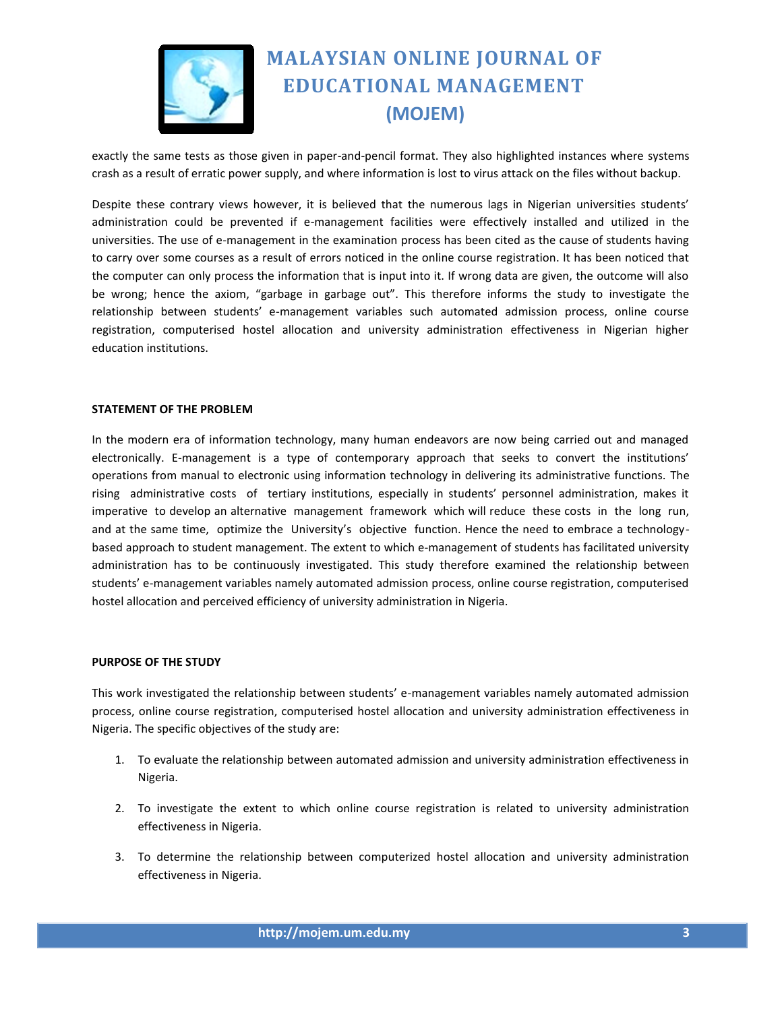

exactly the same tests as those given in paper-and-pencil format. They also highlighted instances where systems crash as a result of erratic power supply, and where information is lost to virus attack on the files without backup.

Despite these contrary views however, it is believed that the numerous lags in Nigerian universities students' administration could be prevented if e-management facilities were effectively installed and utilized in the universities. The use of e-management in the examination process has been cited as the cause of students having to carry over some courses as a result of errors noticed in the online course registration. It has been noticed that the computer can only process the information that is input into it. If wrong data are given, the outcome will also be wrong; hence the axiom, "garbage in garbage out". This therefore informs the study to investigate the relationship between students' e-management variables such automated admission process, online course registration, computerised hostel allocation and university administration effectiveness in Nigerian higher education institutions.

### **STATEMENT OF THE PROBLEM**

In the modern era of information technology, many human endeavors are now being carried out and managed electronically. E-management is a type of contemporary approach that seeks to convert the institutions' operations from manual to electronic using information technology in delivering its administrative functions. The rising administrative costs of tertiary institutions, especially in students' personnel administration, makes it imperative to develop an alternative management framework which will reduce these costs in the long run, and at the same time, optimize the University's objective function. Hence the need to embrace a technologybased approach to student management. The extent to which e-management of students has facilitated university administration has to be continuously investigated. This study therefore examined the relationship between students' e-management variables namely automated admission process, online course registration, computerised hostel allocation and perceived efficiency of university administration in Nigeria.

#### **PURPOSE OF THE STUDY**

This work investigated the relationship between students' e-management variables namely automated admission process, online course registration, computerised hostel allocation and university administration effectiveness in Nigeria. The specific objectives of the study are:

- 1. To evaluate the relationship between automated admission and university administration effectiveness in Nigeria.
- 2. To investigate the extent to which online course registration is related to university administration effectiveness in Nigeria.
- 3. To determine the relationship between computerized hostel allocation and university administration effectiveness in Nigeria.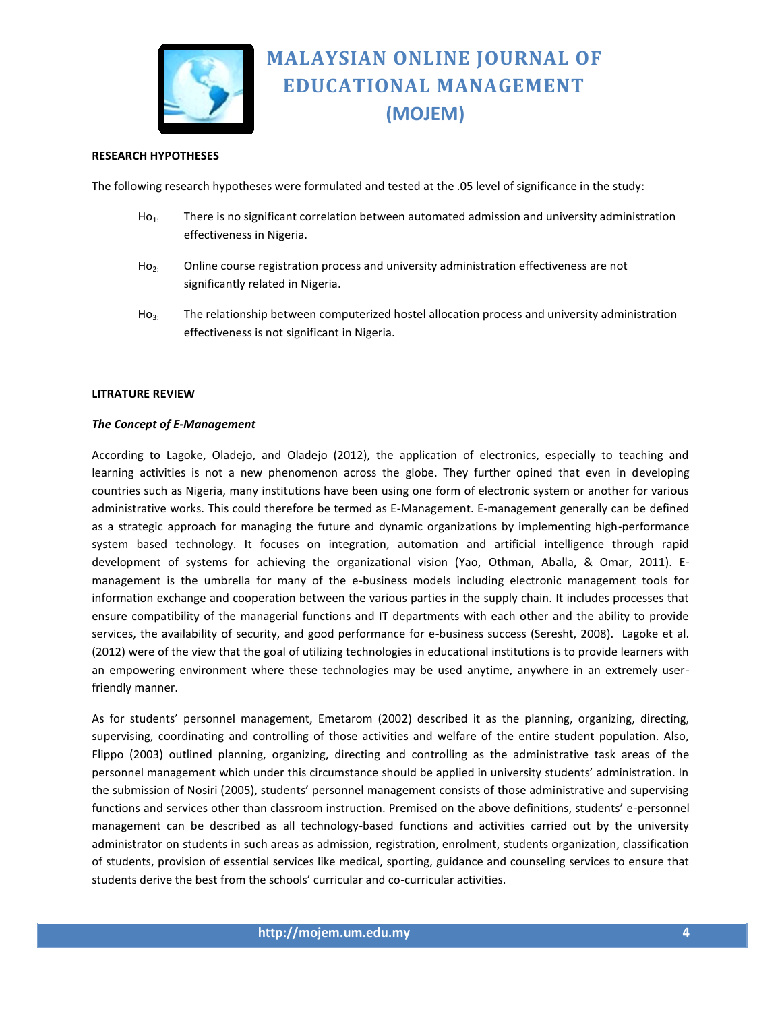

## **RESEARCH HYPOTHESES**

The following research hypotheses were formulated and tested at the .05 level of significance in the study:

- $Ho<sub>1</sub>$ : There is no significant correlation between automated admission and university administration effectiveness in Nigeria.
- $H_0$ : Online course registration process and university administration effectiveness are not significantly related in Nigeria.
- Ho<sub>3:</sub> The relationship between computerized hostel allocation process and university administration effectiveness is not significant in Nigeria.

### **LITRATURE REVIEW**

#### *The Concept of E-Management*

According to Lagoke, Oladejo, and Oladejo (2012), the application of electronics, especially to teaching and learning activities is not a new phenomenon across the globe. They further opined that even in developing countries such as Nigeria, many institutions have been using one form of electronic system or another for various administrative works. This could therefore be termed as E-Management. E-management generally can be defined as a strategic approach for managing the future and dynamic organizations by implementing high-performance system based technology. It focuses on integration, automation and artificial intelligence through rapid development of systems for achieving the organizational vision (Yao, Othman, Aballa, & Omar, 2011). Emanagement is the umbrella for many of the e-business models including electronic management tools for information exchange and cooperation between the various parties in the supply chain. It includes processes that ensure compatibility of the managerial functions and IT departments with each other and the ability to provide services, the availability of security, and good performance for e-business success (Seresht, 2008). Lagoke et al. (2012) were of the view that the goal of utilizing technologies in educational institutions is to provide learners with an empowering environment where these technologies may be used anytime, anywhere in an extremely userfriendly manner.

As for students' personnel management, Emetarom (2002) described it as the planning, organizing, directing, supervising, coordinating and controlling of those activities and welfare of the entire student population. Also, Flippo (2003) outlined planning, organizing, directing and controlling as the administrative task areas of the personnel management which under this circumstance should be applied in university students' administration. In the submission of Nosiri (2005), students' personnel management consists of those administrative and supervising functions and services other than classroom instruction. Premised on the above definitions, students' e-personnel management can be described as all technology-based functions and activities carried out by the university administrator on students in such areas as admission, registration, enrolment, students organization, classification of students, provision of essential services like medical, sporting, guidance and counseling services to ensure that students derive the best from the schools' curricular and co-curricular activities.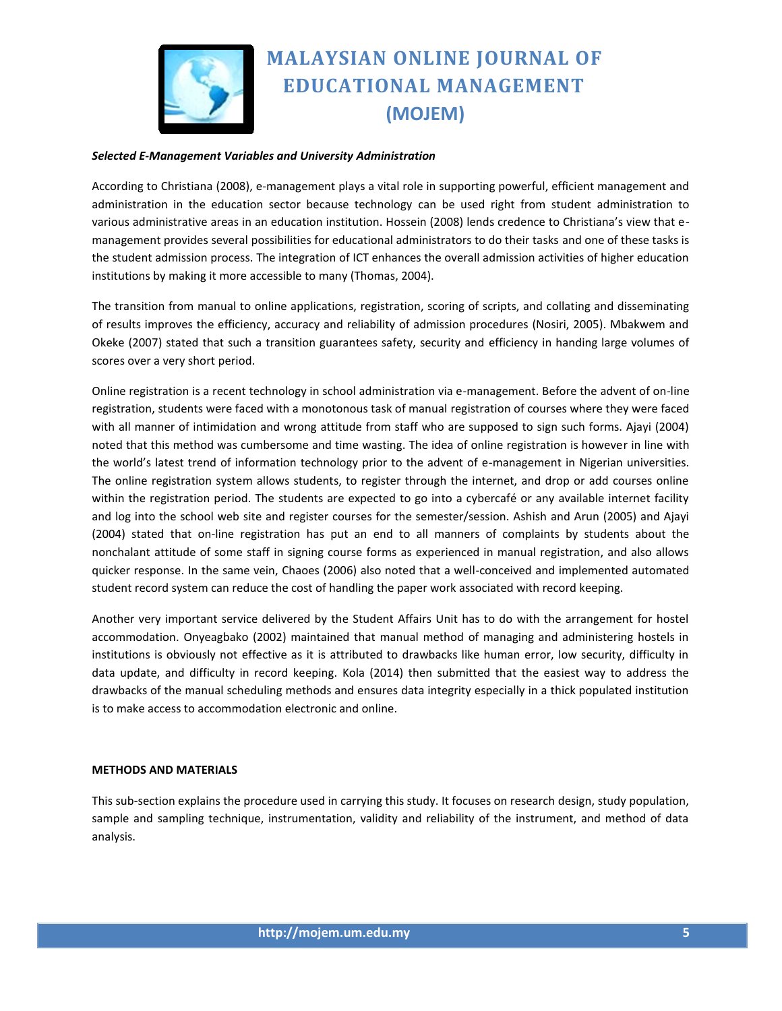

### *Selected E-Management Variables and University Administration*

According to Christiana (2008), e-management plays a vital role in supporting powerful, efficient management and administration in the education sector because technology can be used right from student administration to various administrative areas in an education institution. Hossein (2008) lends credence to Christiana's view that emanagement provides several possibilities for educational administrators to do their tasks and one of these tasks is the student admission process. The integration of ICT enhances the overall admission activities of higher education institutions by making it more accessible to many (Thomas, 2004).

The transition from manual to online applications, registration, scoring of scripts, and collating and disseminating of results improves the efficiency, accuracy and reliability of admission procedures (Nosiri, 2005). Mbakwem and Okeke (2007) stated that such a transition guarantees safety, security and efficiency in handing large volumes of scores over a very short period.

Online registration is a recent technology in school administration via e-management. Before the advent of on-line registration, students were faced with a monotonous task of manual registration of courses where they were faced with all manner of intimidation and wrong attitude from staff who are supposed to sign such forms. Ajayi (2004) noted that this method was cumbersome and time wasting. The idea of online registration is however in line with the world's latest trend of information technology prior to the advent of e-management in Nigerian universities. The online registration system allows students, to register through the internet, and drop or add courses online within the registration period. The students are expected to go into a cybercafé or any available internet facility and log into the school web site and register courses for the semester/session. Ashish and Arun (2005) and Ajayi (2004) stated that on-line registration has put an end to all manners of complaints by students about the nonchalant attitude of some staff in signing course forms as experienced in manual registration, and also allows quicker response. In the same vein, Chaoes (2006) also noted that a well-conceived and implemented automated student record system can reduce the cost of handling the paper work associated with record keeping.

Another very important service delivered by the Student Affairs Unit has to do with the arrangement for hostel accommodation. Onyeagbako (2002) maintained that manual method of managing and administering hostels in institutions is obviously not effective as it is attributed to drawbacks like human error, low security, difficulty in data update, and difficulty in record keeping. Kola (2014) then submitted that the easiest way to address the drawbacks of the manual scheduling methods and ensures data integrity especially in a thick populated institution is to make access to accommodation electronic and online.

#### **METHODS AND MATERIALS**

This sub-section explains the procedure used in carrying this study. It focuses on research design, study population, sample and sampling technique, instrumentation, validity and reliability of the instrument, and method of data analysis.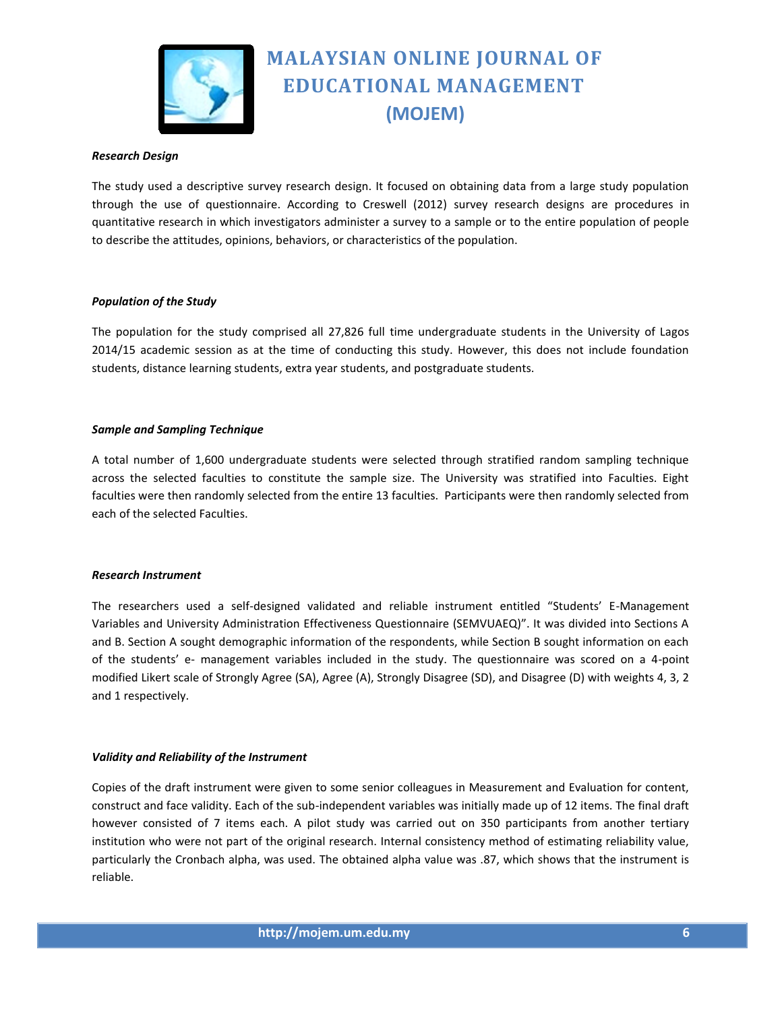

### *Research Design*

The study used a descriptive survey research design. It focused on obtaining data from a large study population through the use of questionnaire. According to Creswell (2012) survey research designs are procedures in quantitative research in which investigators administer a survey to a sample or to the entire population of people to describe the attitudes, opinions, behaviors, or characteristics of the population.

### *Population of the Study*

The population for the study comprised all 27,826 full time undergraduate students in the University of Lagos 2014/15 academic session as at the time of conducting this study. However, this does not include foundation students, distance learning students, extra year students, and postgraduate students.

### *Sample and Sampling Technique*

A total number of 1,600 undergraduate students were selected through stratified random sampling technique across the selected faculties to constitute the sample size. The University was stratified into Faculties. Eight faculties were then randomly selected from the entire 13 faculties. Participants were then randomly selected from each of the selected Faculties.

#### *Research Instrument*

The researchers used a self-designed validated and reliable instrument entitled "Students' E-Management Variables and University Administration Effectiveness Questionnaire (SEMVUAEQ)". It was divided into Sections A and B. Section A sought demographic information of the respondents, while Section B sought information on each of the students' e- management variables included in the study. The questionnaire was scored on a 4-point modified Likert scale of Strongly Agree (SA), Agree (A), Strongly Disagree (SD), and Disagree (D) with weights 4, 3, 2 and 1 respectively.

#### *Validity and Reliability of the Instrument*

Copies of the draft instrument were given to some senior colleagues in Measurement and Evaluation for content, construct and face validity. Each of the sub-independent variables was initially made up of 12 items. The final draft however consisted of 7 items each. A pilot study was carried out on 350 participants from another tertiary institution who were not part of the original research. Internal consistency method of estimating reliability value, particularly the Cronbach alpha, was used. The obtained alpha value was .87, which shows that the instrument is reliable.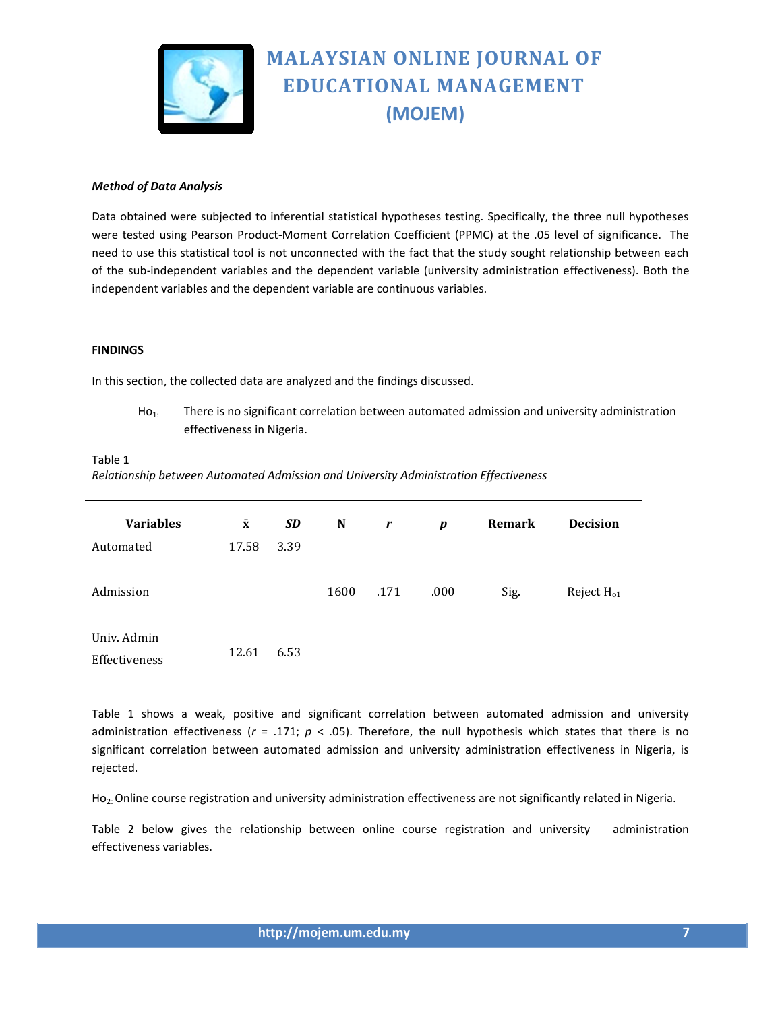

## *Method of Data Analysis*

Data obtained were subjected to inferential statistical hypotheses testing. Specifically, the three null hypotheses were tested using Pearson Product-Moment Correlation Coefficient (PPMC) at the .05 level of significance. The need to use this statistical tool is not unconnected with the fact that the study sought relationship between each of the sub-independent variables and the dependent variable (university administration effectiveness). Both the independent variables and the dependent variable are continuous variables.

#### **FINDINGS**

In this section, the collected data are analyzed and the findings discussed.

 $Ho<sub>1</sub>$ : There is no significant correlation between automated admission and university administration effectiveness in Nigeria.

#### Table 1

*Relationship between Automated Admission and University Administration Effectiveness*

| <b>Variables</b>             | $\bar{\mathbf{x}}$ | SD   | N    | r    | $\boldsymbol{p}$ | <b>Remark</b> | <b>Decision</b> |
|------------------------------|--------------------|------|------|------|------------------|---------------|-----------------|
| Automated                    | 17.58              | 3.39 |      |      |                  |               |                 |
| Admission                    |                    |      | 1600 | .171 | .000             | Sig.          | Reject $H_{01}$ |
| Univ. Admin<br>Effectiveness | 12.61              | 6.53 |      |      |                  |               |                 |

Table 1 shows a weak, positive and significant correlation between automated admission and university administration effectiveness ( $r = .171$ ;  $p < .05$ ). Therefore, the null hypothesis which states that there is no significant correlation between automated admission and university administration effectiveness in Nigeria, is rejected.

 $Ho<sub>2</sub>:$  Online course registration and university administration effectiveness are not significantly related in Nigeria.

Table 2 below gives the relationship between online course registration and university administration effectiveness variables.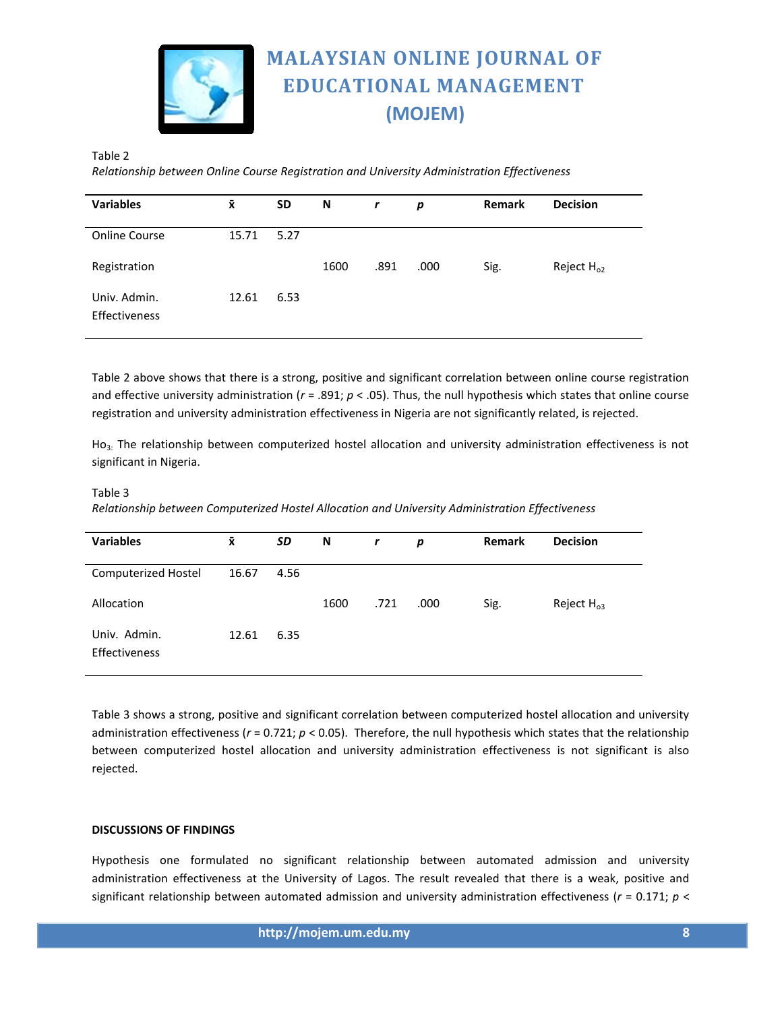

## Table 2

*Relationship between Online Course Registration and University Administration Effectiveness*

| <b>Variables</b>                     | $\bar{\mathbf{x}}$ | <b>SD</b> | N    | $\mathbf r$ | p    | <b>Remark</b> | <b>Decision</b> |
|--------------------------------------|--------------------|-----------|------|-------------|------|---------------|-----------------|
| <b>Online Course</b>                 | 15.71              | 5.27      |      |             |      |               |                 |
| Registration                         |                    |           | 1600 | .891        | .000 | Sig.          | Reject $H_{o2}$ |
| Univ. Admin.<br><b>Effectiveness</b> | 12.61              | 6.53      |      |             |      |               |                 |

Table 2 above shows that there is a strong, positive and significant correlation between online course registration and effective university administration (*r* = .891; *p* < .05). Thus, the null hypothesis which states that online course registration and university administration effectiveness in Nigeria are not significantly related, is rejected.

Ho<sub>3</sub>. The relationship between computerized hostel allocation and university administration effectiveness is not significant in Nigeria.

#### Table 3

*Relationship between Computerized Hostel Allocation and University Administration Effectiveness*

| <b>Variables</b>              | $\bar{\mathbf{x}}$ | SD   | N    | $\mathbf r$ | p    | <b>Remark</b> | <b>Decision</b> |
|-------------------------------|--------------------|------|------|-------------|------|---------------|-----------------|
| <b>Computerized Hostel</b>    | 16.67              | 4.56 |      |             |      |               |                 |
| Allocation                    |                    |      | 1600 | .721        | .000 | Sig.          | Reject $H_{03}$ |
| Univ. Admin.<br>Effectiveness | 12.61              | 6.35 |      |             |      |               |                 |

Table 3 shows a strong, positive and significant correlation between computerized hostel allocation and university administration effectiveness (*r* = 0.721; *p* < 0.05). Therefore, the null hypothesis which states that the relationship between computerized hostel allocation and university administration effectiveness is not significant is also rejected.

## **DISCUSSIONS OF FINDINGS**

Hypothesis one formulated no significant relationship between automated admission and university administration effectiveness at the University of Lagos. The result revealed that there is a weak, positive and significant relationship between automated admission and university administration effectiveness (*r* = 0.171; *p* <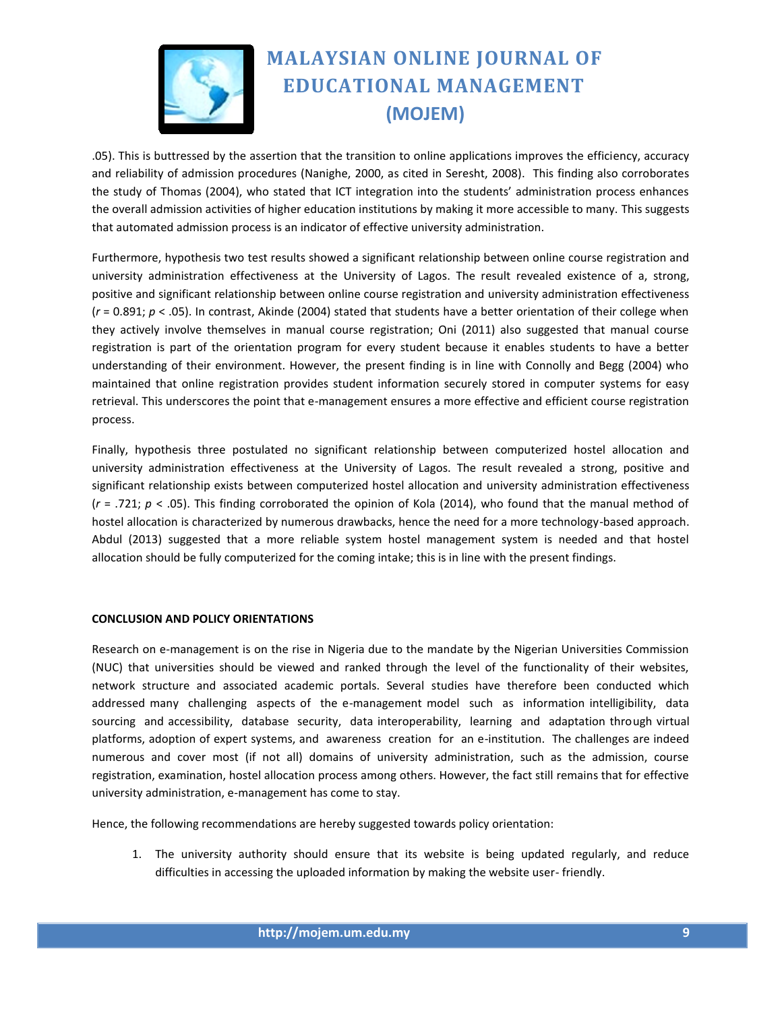

.05). This is buttressed by the assertion that the transition to online applications improves the efficiency, accuracy and reliability of admission procedures (Nanighe, 2000, as cited in Seresht, 2008). This finding also corroborates the study of Thomas (2004), who stated that ICT integration into the students' administration process enhances the overall admission activities of higher education institutions by making it more accessible to many. This suggests that automated admission process is an indicator of effective university administration.

Furthermore, hypothesis two test results showed a significant relationship between online course registration and university administration effectiveness at the University of Lagos. The result revealed existence of a, strong, positive and significant relationship between online course registration and university administration effectiveness (*r* = 0.891; *p* < .05). In contrast, Akinde (2004) stated that students have a better orientation of their college when they actively involve themselves in manual course registration; Oni (2011) also suggested that manual course registration is part of the orientation program for every student because it enables students to have a better understanding of their environment. However, the present finding is in line with Connolly and Begg (2004) who maintained that online registration provides student information securely stored in computer systems for easy retrieval. This underscores the point that e-management ensures a more effective and efficient course registration process.

Finally, hypothesis three postulated no significant relationship between computerized hostel allocation and university administration effectiveness at the University of Lagos. The result revealed a strong, positive and significant relationship exists between computerized hostel allocation and university administration effectiveness (*r* = .721; *p* < .05). This finding corroborated the opinion of Kola (2014), who found that the manual method of hostel allocation is characterized by numerous drawbacks, hence the need for a more technology-based approach. Abdul (2013) suggested that a more reliable system hostel management system is needed and that hostel allocation should be fully computerized for the coming intake; this is in line with the present findings.

## **CONCLUSION AND POLICY ORIENTATIONS**

Research on e-management is on the rise in Nigeria due to the mandate by the Nigerian Universities Commission (NUC) that universities should be viewed and ranked through the level of the functionality of their websites, network structure and associated academic portals. Several studies have therefore been conducted which addressed many challenging aspects of the e-management model such as information intelligibility, data sourcing and accessibility, database security, data interoperability, learning and adaptation through virtual platforms, adoption of expert systems, and awareness creation for an e-institution. The challenges are indeed numerous and cover most (if not all) domains of university administration, such as the admission, course registration, examination, hostel allocation process among others. However, the fact still remains that for effective university administration, e-management has come to stay.

Hence, the following recommendations are hereby suggested towards policy orientation:

1. The university authority should ensure that its website is being updated regularly, and reduce difficulties in accessing the uploaded information by making the website user- friendly.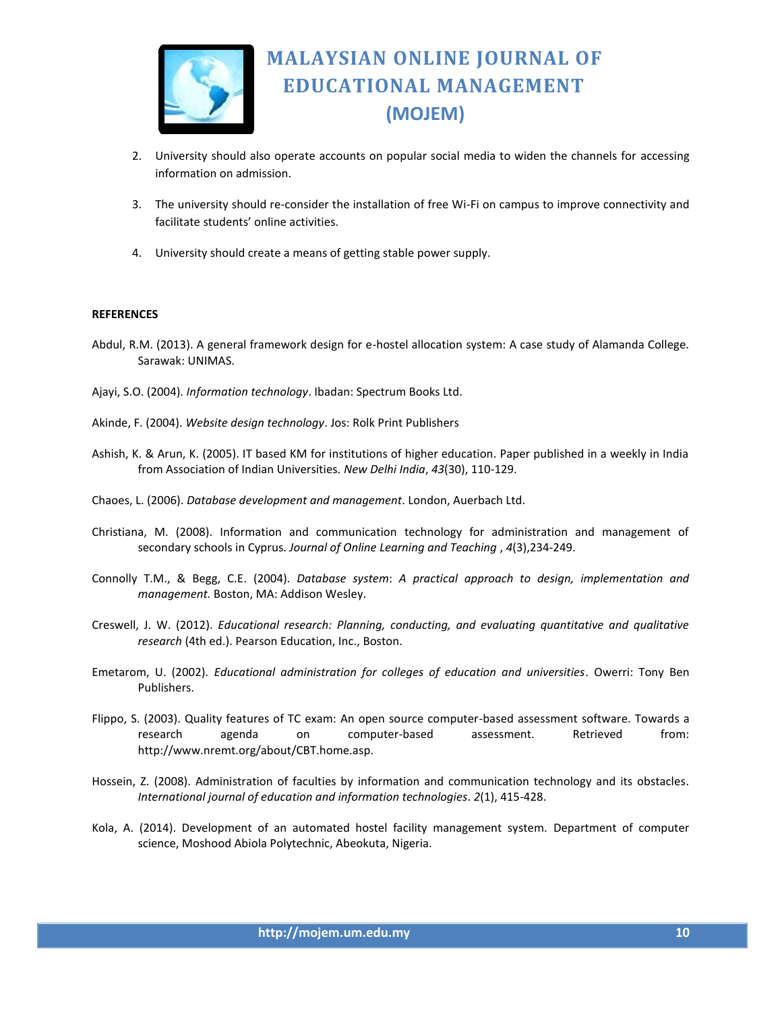

- 2. University should also operate accounts on popular social media to widen the channels for accessing information on admission.
- 3. The university should re-consider the installation of free Wi-Fi on campus to improve connectivity and facilitate students' online activities.
- 4. University should create a means of getting stable power supply.

#### **REFERENCES**

- Abdul, R.M. (2013). A general framework design for e-hostel allocation system: A case study of Alamanda College. Sarawak: UNIMAS.
- Ajayi, S.O. (2004). *Information technology*. Ibadan: Spectrum Books Ltd.
- Akinde, F. (2004). *Website design technology*. Jos: Rolk Print Publishers
- Ashish, K. & Arun, K. (2005). IT based KM for institutions of higher education. Paper published in a weekly in India from Association of Indian Universities. *New Delhi India*, *43*(30), 110-129.
- Chaoes, L. (2006). *Database development and management*. London, Auerbach Ltd.
- Christiana, M. (2008). Information and communication technology for administration and management of secondary schools in Cyprus. *Journal of Online Learning and Teaching* , *4*(3),234-249.
- Connolly T.M., & Begg, C.E. (2004). *Database system*: *A practical approach to design, implementation and management.* Boston, MA: Addison Wesley.
- Creswell, J. W. (2012). *Educational research: Planning, conducting, and evaluating quantitative and qualitative research* (4th ed.). Pearson Education, Inc., Boston.
- Emetarom, U. (2002). *Educational administration for colleges of education and universities*. Owerri: Tony Ben Publishers.
- Flippo, S. (2003). Quality features of TC exam: An open source computer-based assessment software. Towards a research agenda on computer-based assessment. Retrieved from: http://www.nremt.org/about/CBT.home.asp.
- Hossein, Z. (2008). Administration of faculties by information and communication technology and its obstacles*. International journal of education and information technologies*. *2*(1), 415-428.
- Kola, A. (2014). Development of an automated hostel facility management system. Department of computer science, Moshood Abiola Polytechnic, Abeokuta, Nigeria.